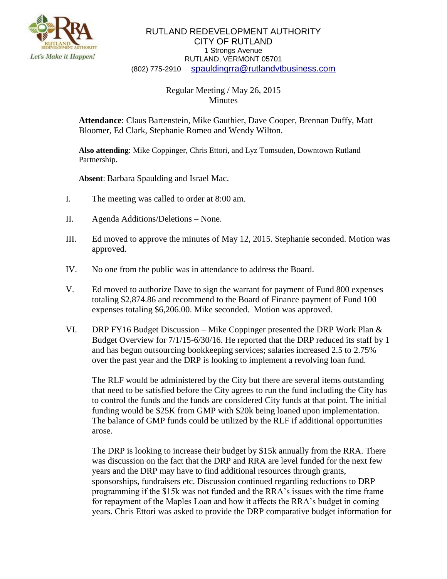

## RUTLAND REDEVELOPMENT AUTHORITY CITY OF RUTLAND 1 Strongs Avenue RUTLAND, VERMONT 05701 (802) 775-2910 [spauldingrra@rutlandvtbusiness.com](mailto:allenrra@rutlandvtbusiness.com)

## Regular Meeting / May 26, 2015 Minutes

**Attendance**: Claus Bartenstein, Mike Gauthier, Dave Cooper, Brennan Duffy, Matt Bloomer, Ed Clark, Stephanie Romeo and Wendy Wilton.

**Also attending**: Mike Coppinger, Chris Ettori, and Lyz Tomsuden, Downtown Rutland Partnership.

**Absent**: Barbara Spaulding and Israel Mac.

- I. The meeting was called to order at 8:00 am.
- II. Agenda Additions/Deletions None.
- III. Ed moved to approve the minutes of May 12, 2015. Stephanie seconded. Motion was approved.
- IV. No one from the public was in attendance to address the Board.
- V. Ed moved to authorize Dave to sign the warrant for payment of Fund 800 expenses totaling \$2,874.86 and recommend to the Board of Finance payment of Fund 100 expenses totaling \$6,206.00. Mike seconded. Motion was approved.
- VI. DRP FY16 Budget Discussion Mike Coppinger presented the DRP Work Plan & Budget Overview for 7/1/15-6/30/16. He reported that the DRP reduced its staff by 1 and has begun outsourcing bookkeeping services; salaries increased 2.5 to 2.75% over the past year and the DRP is looking to implement a revolving loan fund.

The RLF would be administered by the City but there are several items outstanding that need to be satisfied before the City agrees to run the fund including the City has to control the funds and the funds are considered City funds at that point. The initial funding would be \$25K from GMP with \$20k being loaned upon implementation. The balance of GMP funds could be utilized by the RLF if additional opportunities arose.

The DRP is looking to increase their budget by \$15k annually from the RRA. There was discussion on the fact that the DRP and RRA are level funded for the next few years and the DRP may have to find additional resources through grants, sponsorships, fundraisers etc. Discussion continued regarding reductions to DRP programming if the \$15k was not funded and the RRA's issues with the time frame for repayment of the Maples Loan and how it affects the RRA's budget in coming years. Chris Ettori was asked to provide the DRP comparative budget information for